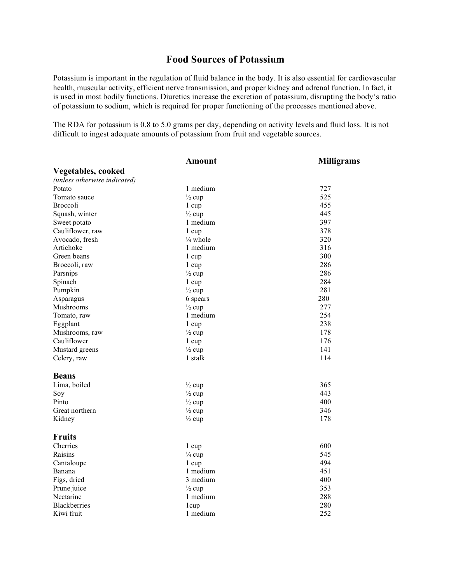## **Food Sources of Potassium**

Potassium is important in the regulation of fluid balance in the body. It is also essential for cardiovascular health, muscular activity, efficient nerve transmission, and proper kidney and adrenal function. In fact, it is used in most bodily functions. Diuretics increase the excretion of potassium, disrupting the body's ratio of potassium to sodium, which is required for proper functioning of the processes mentioned above.

The RDA for potassium is 0.8 to 5.0 grams per day, depending on activity levels and fluid loss. It is not difficult to ingest adequate amounts of potassium from fruit and vegetable sources.

| <b>Vegetables, cooked</b><br>(unless otherwise indicated)<br>1 medium<br>727<br>Potato<br>525<br>Tomato sauce<br>$\frac{1}{2}$ cup<br>455<br><b>Broccoli</b><br>$1 \text{ cup}$<br>445<br>Squash, winter<br>$\frac{1}{2}$ cup<br>397<br>1 medium<br>Sweet potato<br>Cauliflower, raw<br>378<br>1 cup<br>320<br>Avocado, fresh<br>$\frac{1}{4}$ whole<br>Artichoke<br>1 medium<br>316<br>300<br>Green beans<br>$1 \text{ cup}$<br>286<br>Broccoli, raw<br>1 cup<br>286<br>Parsnips<br>$\frac{1}{2}$ cup<br>284<br>Spinach<br>1 cup<br>Pumpkin<br>$\frac{1}{2}$ cup<br>281<br>280<br>Asparagus<br>6 spears<br>277<br>Mushrooms<br>$\frac{1}{2}$ cup<br>254<br>1 medium<br>Tomato, raw<br>238<br>Eggplant<br>1 cup<br>178<br>Mushrooms, raw<br>$\frac{1}{2}$ cup<br>Cauliflower<br>176<br>$1 \text{ cup}$<br>Mustard greens<br>$\frac{1}{2}$ cup<br>141<br>114<br>Celery, raw<br>1 stalk<br><b>Beans</b><br>Lima, boiled<br>365<br>$\frac{1}{2}$ cup<br>443<br>$\frac{1}{2}$ cup<br>Soy<br>Pinto<br>400<br>$\frac{1}{2}$ cup<br>Great northern<br>346<br>$\frac{1}{2}$ cup<br>178<br>Kidney<br>$\frac{1}{2}$ cup<br><b>Fruits</b><br>600<br>Cherries<br>1 cup<br>545<br>Raisins<br>$\frac{1}{4}$ cup<br>494<br>Cantaloupe<br>1 cup<br>451<br>1 medium<br>Banana | <b>Amount</b> | <b>Milligrams</b> |
|--------------------------------------------------------------------------------------------------------------------------------------------------------------------------------------------------------------------------------------------------------------------------------------------------------------------------------------------------------------------------------------------------------------------------------------------------------------------------------------------------------------------------------------------------------------------------------------------------------------------------------------------------------------------------------------------------------------------------------------------------------------------------------------------------------------------------------------------------------------------------------------------------------------------------------------------------------------------------------------------------------------------------------------------------------------------------------------------------------------------------------------------------------------------------------------------------------------------------------------------------------------|---------------|-------------------|
|                                                                                                                                                                                                                                                                                                                                                                                                                                                                                                                                                                                                                                                                                                                                                                                                                                                                                                                                                                                                                                                                                                                                                                                                                                                              |               |                   |
|                                                                                                                                                                                                                                                                                                                                                                                                                                                                                                                                                                                                                                                                                                                                                                                                                                                                                                                                                                                                                                                                                                                                                                                                                                                              |               |                   |
|                                                                                                                                                                                                                                                                                                                                                                                                                                                                                                                                                                                                                                                                                                                                                                                                                                                                                                                                                                                                                                                                                                                                                                                                                                                              |               |                   |
|                                                                                                                                                                                                                                                                                                                                                                                                                                                                                                                                                                                                                                                                                                                                                                                                                                                                                                                                                                                                                                                                                                                                                                                                                                                              |               |                   |
|                                                                                                                                                                                                                                                                                                                                                                                                                                                                                                                                                                                                                                                                                                                                                                                                                                                                                                                                                                                                                                                                                                                                                                                                                                                              |               |                   |
|                                                                                                                                                                                                                                                                                                                                                                                                                                                                                                                                                                                                                                                                                                                                                                                                                                                                                                                                                                                                                                                                                                                                                                                                                                                              |               |                   |
|                                                                                                                                                                                                                                                                                                                                                                                                                                                                                                                                                                                                                                                                                                                                                                                                                                                                                                                                                                                                                                                                                                                                                                                                                                                              |               |                   |
|                                                                                                                                                                                                                                                                                                                                                                                                                                                                                                                                                                                                                                                                                                                                                                                                                                                                                                                                                                                                                                                                                                                                                                                                                                                              |               |                   |
|                                                                                                                                                                                                                                                                                                                                                                                                                                                                                                                                                                                                                                                                                                                                                                                                                                                                                                                                                                                                                                                                                                                                                                                                                                                              |               |                   |
|                                                                                                                                                                                                                                                                                                                                                                                                                                                                                                                                                                                                                                                                                                                                                                                                                                                                                                                                                                                                                                                                                                                                                                                                                                                              |               |                   |
|                                                                                                                                                                                                                                                                                                                                                                                                                                                                                                                                                                                                                                                                                                                                                                                                                                                                                                                                                                                                                                                                                                                                                                                                                                                              |               |                   |
|                                                                                                                                                                                                                                                                                                                                                                                                                                                                                                                                                                                                                                                                                                                                                                                                                                                                                                                                                                                                                                                                                                                                                                                                                                                              |               |                   |
|                                                                                                                                                                                                                                                                                                                                                                                                                                                                                                                                                                                                                                                                                                                                                                                                                                                                                                                                                                                                                                                                                                                                                                                                                                                              |               |                   |
|                                                                                                                                                                                                                                                                                                                                                                                                                                                                                                                                                                                                                                                                                                                                                                                                                                                                                                                                                                                                                                                                                                                                                                                                                                                              |               |                   |
|                                                                                                                                                                                                                                                                                                                                                                                                                                                                                                                                                                                                                                                                                                                                                                                                                                                                                                                                                                                                                                                                                                                                                                                                                                                              |               |                   |
|                                                                                                                                                                                                                                                                                                                                                                                                                                                                                                                                                                                                                                                                                                                                                                                                                                                                                                                                                                                                                                                                                                                                                                                                                                                              |               |                   |
|                                                                                                                                                                                                                                                                                                                                                                                                                                                                                                                                                                                                                                                                                                                                                                                                                                                                                                                                                                                                                                                                                                                                                                                                                                                              |               |                   |
|                                                                                                                                                                                                                                                                                                                                                                                                                                                                                                                                                                                                                                                                                                                                                                                                                                                                                                                                                                                                                                                                                                                                                                                                                                                              |               |                   |
|                                                                                                                                                                                                                                                                                                                                                                                                                                                                                                                                                                                                                                                                                                                                                                                                                                                                                                                                                                                                                                                                                                                                                                                                                                                              |               |                   |
|                                                                                                                                                                                                                                                                                                                                                                                                                                                                                                                                                                                                                                                                                                                                                                                                                                                                                                                                                                                                                                                                                                                                                                                                                                                              |               |                   |
|                                                                                                                                                                                                                                                                                                                                                                                                                                                                                                                                                                                                                                                                                                                                                                                                                                                                                                                                                                                                                                                                                                                                                                                                                                                              |               |                   |
|                                                                                                                                                                                                                                                                                                                                                                                                                                                                                                                                                                                                                                                                                                                                                                                                                                                                                                                                                                                                                                                                                                                                                                                                                                                              |               |                   |
|                                                                                                                                                                                                                                                                                                                                                                                                                                                                                                                                                                                                                                                                                                                                                                                                                                                                                                                                                                                                                                                                                                                                                                                                                                                              |               |                   |
|                                                                                                                                                                                                                                                                                                                                                                                                                                                                                                                                                                                                                                                                                                                                                                                                                                                                                                                                                                                                                                                                                                                                                                                                                                                              |               |                   |
|                                                                                                                                                                                                                                                                                                                                                                                                                                                                                                                                                                                                                                                                                                                                                                                                                                                                                                                                                                                                                                                                                                                                                                                                                                                              |               |                   |
|                                                                                                                                                                                                                                                                                                                                                                                                                                                                                                                                                                                                                                                                                                                                                                                                                                                                                                                                                                                                                                                                                                                                                                                                                                                              |               |                   |
|                                                                                                                                                                                                                                                                                                                                                                                                                                                                                                                                                                                                                                                                                                                                                                                                                                                                                                                                                                                                                                                                                                                                                                                                                                                              |               |                   |
|                                                                                                                                                                                                                                                                                                                                                                                                                                                                                                                                                                                                                                                                                                                                                                                                                                                                                                                                                                                                                                                                                                                                                                                                                                                              |               |                   |
|                                                                                                                                                                                                                                                                                                                                                                                                                                                                                                                                                                                                                                                                                                                                                                                                                                                                                                                                                                                                                                                                                                                                                                                                                                                              |               |                   |
|                                                                                                                                                                                                                                                                                                                                                                                                                                                                                                                                                                                                                                                                                                                                                                                                                                                                                                                                                                                                                                                                                                                                                                                                                                                              |               |                   |
|                                                                                                                                                                                                                                                                                                                                                                                                                                                                                                                                                                                                                                                                                                                                                                                                                                                                                                                                                                                                                                                                                                                                                                                                                                                              |               |                   |
|                                                                                                                                                                                                                                                                                                                                                                                                                                                                                                                                                                                                                                                                                                                                                                                                                                                                                                                                                                                                                                                                                                                                                                                                                                                              |               |                   |
|                                                                                                                                                                                                                                                                                                                                                                                                                                                                                                                                                                                                                                                                                                                                                                                                                                                                                                                                                                                                                                                                                                                                                                                                                                                              |               |                   |
|                                                                                                                                                                                                                                                                                                                                                                                                                                                                                                                                                                                                                                                                                                                                                                                                                                                                                                                                                                                                                                                                                                                                                                                                                                                              |               |                   |
| 3 medium<br>400<br>Figs, dried                                                                                                                                                                                                                                                                                                                                                                                                                                                                                                                                                                                                                                                                                                                                                                                                                                                                                                                                                                                                                                                                                                                                                                                                                               |               |                   |
| 353<br>Prune juice<br>$\frac{1}{2}$ cup                                                                                                                                                                                                                                                                                                                                                                                                                                                                                                                                                                                                                                                                                                                                                                                                                                                                                                                                                                                                                                                                                                                                                                                                                      |               |                   |
| 288<br>Nectarine<br>1 medium                                                                                                                                                                                                                                                                                                                                                                                                                                                                                                                                                                                                                                                                                                                                                                                                                                                                                                                                                                                                                                                                                                                                                                                                                                 |               |                   |
| <b>Blackberries</b><br>280<br>1 cup                                                                                                                                                                                                                                                                                                                                                                                                                                                                                                                                                                                                                                                                                                                                                                                                                                                                                                                                                                                                                                                                                                                                                                                                                          |               |                   |
| 1 medium<br>252<br>Kiwi fruit                                                                                                                                                                                                                                                                                                                                                                                                                                                                                                                                                                                                                                                                                                                                                                                                                                                                                                                                                                                                                                                                                                                                                                                                                                |               |                   |